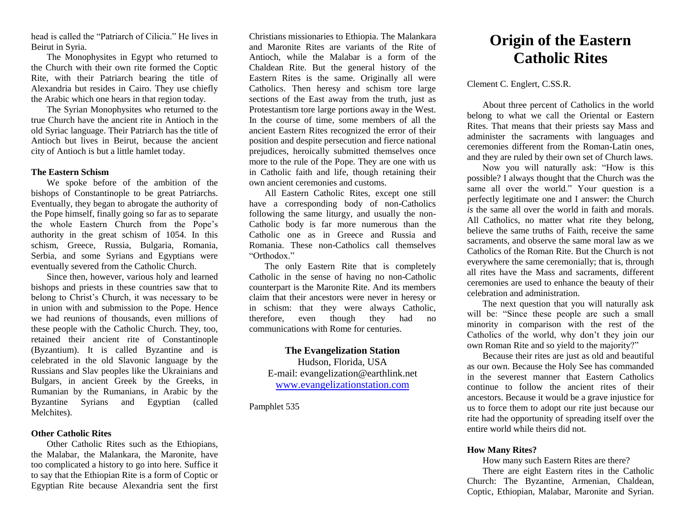head is called the "Patriarch of Cilicia." He lives in Beirut in Syria.

The Monophysites in Egypt who returned to the Church with their own rite formed the Coptic Rite, with their Patriarch bearing the title of Alexandria but resides in Cairo. They use chiefly the Arabic which one hears in that region today.

The Syrian Monophysites who returned to the true Church have the ancient rite in Antioch in the old Syriac language. Their Patriarch has the title of Antioch but lives in Beirut, because the ancient city of Antioch is but a little hamlet today.

#### **The Eastern Schism**

We spoke before of the ambition of the bishops of Constantinople to be great Patriarchs. Eventually, they began to abrogate the authority of the Pope himself, finally going so far as to separate the whole Eastern Church from the Pope's authority in the great schism of 1054. In this schism, Greece, Russia, Bulgaria, Romania, Serbia, and some Syrians and Egyptians were eventually severed from the Catholic Church.

Since then, however, various holy and learned bishops and priests in these countries saw that to belong to Christ's Church, it was necessary to be in union with and submission to the Pope. Hence we had reunions of thousands, even millions of these people with the Catholic Church. They, too, retained their ancient rite of Constantinople (Byzantium). It is called Byzantine and is celebrated in the old Slavonic language by the Russians and Slav peoples like the Ukrainians and Bulgars, in ancient Greek by the Greeks, in Rumanian by the Rumanians, in Arabic by the Byzantine Syrians and Egyptian (called Melchites).

## Christians missionaries to Ethiopia. The Malankara and Maronite Rites are variants of the Rite of Antioch, while the Malabar is a form of the Chaldean Rite. But the general history of the Eastern Rites is the same. Originally all were Catholics. Then heresy and schism tore large sections of the East away from the truth, just as Protestantism tore large portions away in the West. In the course of time, some members of all the ancient Eastern Rites recognized the error of their position and despite persecution and fierce national prejudices, heroically submitted themselves once more to the rule of the Pope. They are one with us in Catholic faith and life, though retaining their own ancient ceremonies and customs.

All Eastern Catholic Rites, except one still have a corresponding body of non-Catholics following the same liturgy, and usually the non-Catholic body is far more numerous than the Catholic one as in Greece and Russia and Romania. These non-Catholics call themselves "Orthodox."

The only Eastern Rite that is completely Catholic in the sense of having no non-Catholic counterpart is the Maronite Rite. And its members claim that their ancestors were never in heresy or in schism: that they were always Catholic, therefore, even though they had no communications with Rome for centuries.

#### **The Evangelization Station**

Hudson, Florida, USA E-mail: evangelization@earthlink.net [www.evangelizationstation.com](http://www.pjpiisoe.org/)

Pamphlet 535

# **Origin of the Eastern Catholic Rites**

#### Clement C. Englert, C.SS.R.

About three percent of Catholics in the world belong to what we call the Oriental or Eastern Rites. That means that their priests say Mass and administer the sacraments with languages and ceremonies different from the Roman-Latin ones, and they are ruled by their own set of Church laws.

Now you will naturally ask: "How is this possible? I always thought that the Church was the same all over the world." Your question is a perfectly legitimate one and I answer: the Church *is* the same all over the world in faith and morals. All Catholics, no matter what rite they belong, believe the same truths of Faith, receive the same sacraments, and observe the same moral law as we Catholics of the Roman Rite. But the Church is not everywhere the same ceremonially; that is, through all rites have the Mass and sacraments, different ceremonies are used to enhance the beauty of their celebration and administration.

The next question that you will naturally ask will be: "Since these people are such a small minority in comparison with the rest of the Catholics of the world, why don't they join our own Roman Rite and so yield to the majority?"

Because their rites are just as old and beautiful as our own. Because the Holy See has commanded in the severest manner that Eastern Catholics continue to follow the ancient rites of their ancestors. Because it would be a grave injustice for us to force them to adopt our rite just because our rite had the opportunity of spreading itself over the entire world while theirs did not.

## **How Many Rites?**

How many such Eastern Rites are there?

There are eight Eastern rites in the Catholic Church: The Byzantine, Armenian, Chaldean, Coptic, Ethiopian, Malabar, Maronite and Syrian.

#### **Other Catholic Rites**

Other Catholic Rites such as the Ethiopians, the Malabar, the Malankara, the Maronite, have too complicated a history to go into here. Suffice it to say that the Ethiopian Rite is a form of Coptic or Egyptian Rite because Alexandria sent the first